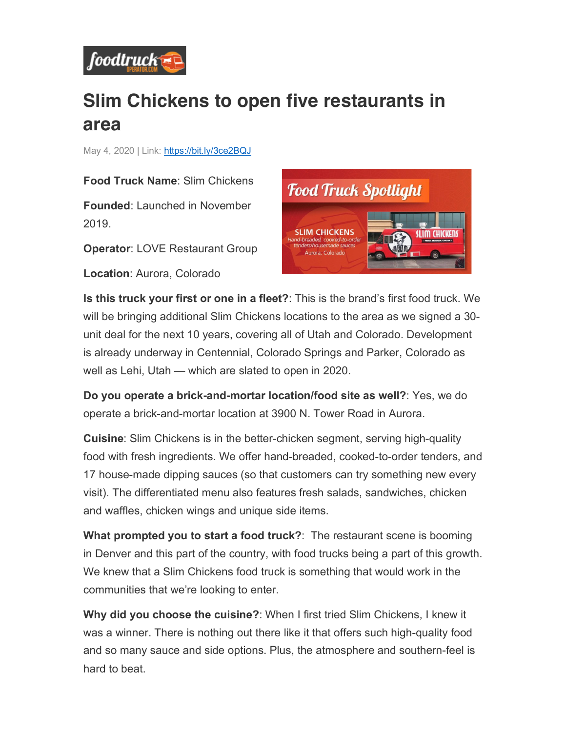

## **Slim Chickens to open five restaurants in area**

May 4, 2020 | Link: https://bit.ly/3ce2BQJ

**Food Truck Name**: Slim Chickens

**Founded**: Launched in November 2019.

**Operator**: LOVE Restaurant Group

**Location**: Aurora, Colorado



**Is this truck your first or one in a fleet?**: This is the brand's first food truck. We will be bringing additional Slim Chickens locations to the area as we signed a 30 unit deal for the next 10 years, covering all of Utah and Colorado. Development is already underway in Centennial, Colorado Springs and Parker, Colorado as well as Lehi, Utah — which are slated to open in 2020.

**Do you operate a brick-and-mortar location/food site as well?**: Yes, we do operate a brick-and-mortar location at 3900 N. Tower Road in Aurora.

**Cuisine**: Slim Chickens is in the better-chicken segment, serving high-quality food with fresh ingredients. We offer hand-breaded, cooked-to-order tenders, and 17 house-made dipping sauces (so that customers can try something new every visit). The differentiated menu also features fresh salads, sandwiches, chicken and waffles, chicken wings and unique side items.

**What prompted you to start a food truck?**: The restaurant scene is booming in Denver and this part of the country, with food trucks being a part of this growth. We knew that a Slim Chickens food truck is something that would work in the communities that we're looking to enter.

**Why did you choose the cuisine?**: When I first tried Slim Chickens, I knew it was a winner. There is nothing out there like it that offers such high-quality food and so many sauce and side options. Plus, the atmosphere and southern-feel is hard to beat.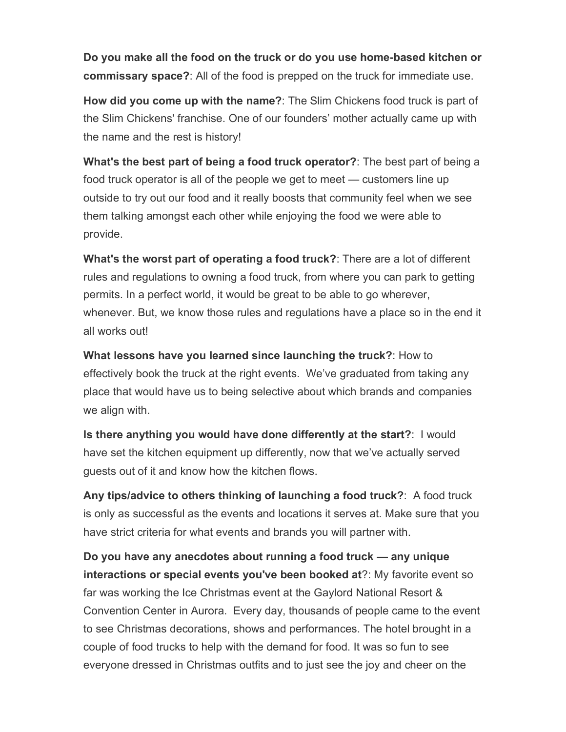**Do you make all the food on the truck or do you use home-based kitchen or commissary space?**: All of the food is prepped on the truck for immediate use.

**How did you come up with the name?**: The Slim Chickens food truck is part of the Slim Chickens' franchise. One of our founders' mother actually came up with the name and the rest is history!

**What's the best part of being a food truck operator?**: The best part of being a food truck operator is all of the people we get to meet — customers line up outside to try out our food and it really boosts that community feel when we see them talking amongst each other while enjoying the food we were able to provide.

**What's the worst part of operating a food truck?**: There are a lot of different rules and regulations to owning a food truck, from where you can park to getting permits. In a perfect world, it would be great to be able to go wherever, whenever. But, we know those rules and regulations have a place so in the end it all works out!

**What lessons have you learned since launching the truck?**: How to effectively book the truck at the right events. We've graduated from taking any place that would have us to being selective about which brands and companies we align with.

**Is there anything you would have done differently at the start?**: I would have set the kitchen equipment up differently, now that we've actually served guests out of it and know how the kitchen flows.

**Any tips/advice to others thinking of launching a food truck?**: A food truck is only as successful as the events and locations it serves at. Make sure that you have strict criteria for what events and brands you will partner with.

**Do you have any anecdotes about running a food truck — any unique interactions or special events you've been booked at**?: My favorite event so far was working the Ice Christmas event at the Gaylord National Resort & Convention Center in Aurora. Every day, thousands of people came to the event to see Christmas decorations, shows and performances. The hotel brought in a couple of food trucks to help with the demand for food. It was so fun to see everyone dressed in Christmas outfits and to just see the joy and cheer on the